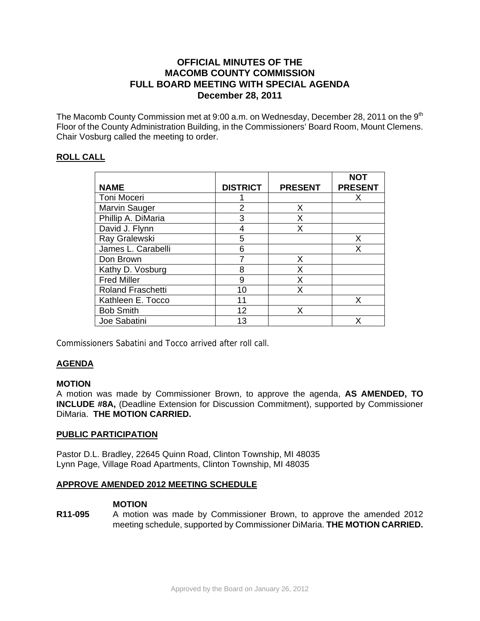# **OFFICIAL MINUTES OF THE MACOMB COUNTY COMMISSION FULL BOARD MEETING WITH SPECIAL AGENDA December 28, 2011**

The Macomb County Commission met at 9:00 a.m. on Wednesday, December 28, 2011 on the 9<sup>th</sup> Floor of the County Administration Building, in the Commissioners' Board Room, Mount Clemens. Chair Vosburg called the meeting to order.

# **ROLL CALL**

|                          |                 |                | <b>NOT</b>     |
|--------------------------|-----------------|----------------|----------------|
| <b>NAME</b>              | <b>DISTRICT</b> | <b>PRESENT</b> | <b>PRESENT</b> |
| <b>Toni Moceri</b>       |                 |                | x              |
| <b>Marvin Sauger</b>     | 2               | X              |                |
| Phillip A. DiMaria       | 3               | X              |                |
| David J. Flynn           |                 | x              |                |
| Ray Gralewski            | 5               |                | Х              |
| James L. Carabelli       | 6               |                | x              |
| Don Brown                |                 | X              |                |
| Kathy D. Vosburg         | 8               | X              |                |
| <b>Fred Miller</b>       | 9               | X              |                |
| <b>Roland Fraschetti</b> | 10              | Χ              |                |
| Kathleen E. Tocco        | 11              |                | X              |
| <b>Bob Smith</b>         | 12              | x              |                |
| Joe Sabatini             | 13              |                | x              |

Commissioners Sabatini and Tocco arrived after roll call.

## **AGENDA**

## **MOTION**

A motion was made by Commissioner Brown, to approve the agenda, **AS AMENDED, TO INCLUDE #8A,** (Deadline Extension for Discussion Commitment), supported by Commissioner DiMaria. **THE MOTION CARRIED.** 

### **PUBLIC PARTICIPATION**

Pastor D.L. Bradley, 22645 Quinn Road, Clinton Township, MI 48035 Lynn Page, Village Road Apartments, Clinton Township, MI 48035

## **APPROVE AMENDED 2012 MEETING SCHEDULE**

## **MOTION**

**R11-095** A motion was made by Commissioner Brown, to approve the amended 2012 meeting schedule, supported by Commissioner DiMaria. **THE MOTION CARRIED.**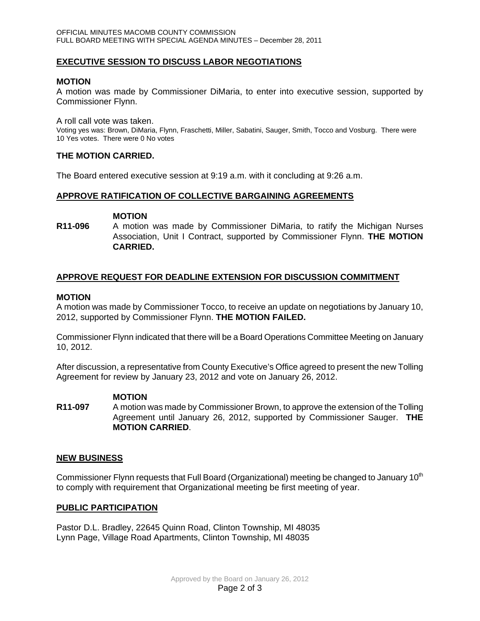## **EXECUTIVE SESSION TO DISCUSS LABOR NEGOTIATIONS**

### **MOTION**

A motion was made by Commissioner DiMaria, to enter into executive session, supported by Commissioner Flynn.

A roll call vote was taken.

Voting yes was: Brown, DiMaria, Flynn, Fraschetti, Miller, Sabatini, Sauger, Smith, Tocco and Vosburg. There were 10 Yes votes. There were 0 No votes

#### **THE MOTION CARRIED.**

The Board entered executive session at 9:19 a.m. with it concluding at 9:26 a.m.

#### **APPROVE RATIFICATION OF COLLECTIVE BARGAINING AGREEMENTS**

#### **MOTION**

**R11-096** A motion was made by Commissioner DiMaria, to ratify the Michigan Nurses Association, Unit I Contract, supported by Commissioner Flynn. **THE MOTION CARRIED.** 

#### **APPROVE REQUEST FOR DEADLINE EXTENSION FOR DISCUSSION COMMITMENT**

#### **MOTION**

A motion was made by Commissioner Tocco, to receive an update on negotiations by January 10, 2012, supported by Commissioner Flynn. **THE MOTION FAILED.** 

Commissioner Flynn indicated that there will be a Board Operations Committee Meeting on January 10, 2012.

After discussion, a representative from County Executive's Office agreed to present the new Tolling Agreement for review by January 23, 2012 and vote on January 26, 2012.

#### **MOTION**

**R11-097** A motion was made by Commissioner Brown, to approve the extension of the Tolling Agreement until January 26, 2012, supported by Commissioner Sauger. **THE MOTION CARRIED**.

### **NEW BUSINESS**

Commissioner Flynn requests that Full Board (Organizational) meeting be changed to January 10<sup>th</sup> to comply with requirement that Organizational meeting be first meeting of year.

### **PUBLIC PARTICIPATION**

Pastor D.L. Bradley, 22645 Quinn Road, Clinton Township, MI 48035 Lynn Page, Village Road Apartments, Clinton Township, MI 48035